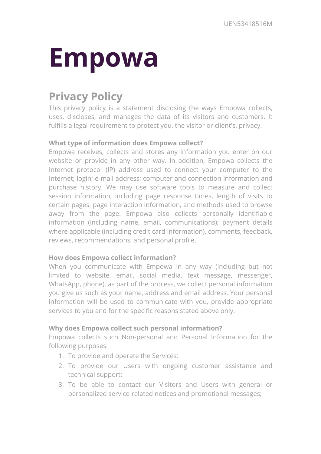# **Empowa**

# **Privacy Policy**

This privacy policy is a statement disclosing the ways Empowa collects, uses, discloses, and manages the data of its visitors and customers. It fulfills a legal requirement to protect you, the visitor or client's, privacy.

# **What type of information does Empowa collect?**

Empowa receives, collects and stores any information you enter on our website or provide in any other way. In addition, Empowa collects the Internet protocol (IP) address used to connect your computer to the Internet; login; e-mail address; computer and connection information and purchase history. We may use software tools to measure and collect session information, including page response times, length of visits to certain pages, page interaction information, and methods used to browse away from the page. Empowa also collects personally identifiable information (including name, email, communications); payment details where applicable (including credit card information), comments, feedback, reviews, recommendations, and personal profile.

# **How does Empowa collect information?**

When you communicate with Empowa in any way (including but not limited to website, email, social media, text message, messenger, WhatsApp, phone), as part of the process, we collect personal information you give us such as your name, address and email address. Your personal information will be used to communicate with you, provide appropriate services to you and for the specific reasons stated above only.

### **Why does Empowa collect such personal information?**

Empowa collects such Non-personal and Personal Information for the following purposes:

- 1. To provide and operate the Services;
- 2. To provide our Users with ongoing customer assistance and technical support;
- 3. To be able to contact our Visitors and Users with general or personalized service-related notices and promotional messages;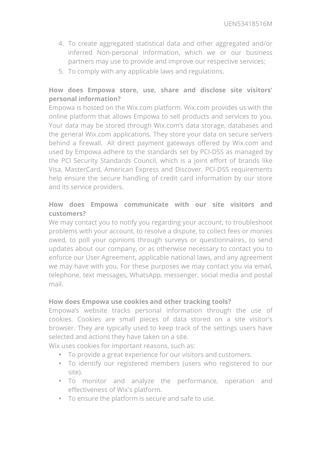- 4. To create aggregated statistical data and other aggregated and/or inferred Non-personal Information, which we or our business partners may use to provide and improve our respective services;
- 5. To comply with any applicable laws and regulations.

# **How does Empowa store, use, share and disclose site visitors' personal information?**

Empowa is hosted on the Wix.com platform. Wix.com provides us with the online platform that allows Empowa to sell products and services to you. Your data may be stored through Wix.com's data storage, databases and the general Wix.com applications. They store your data on secure servers behind a firewall. All direct payment gateways offered by Wix.com and used by Empowa adhere to the standards set by PCI-DSS as managed by the PCI Security Standards Council, which is a joint effort of brands like Visa, MasterCard, American Express and Discover. PCI-DSS requirements help ensure the secure handling of credit card information by our store and its service providers.

# **How does Empowa communicate with our site visitors and customers?**

We may contact you to notify you regarding your account, to troubleshoot problems with your account, to resolve a dispute, to collect fees or monies owed, to poll your opinions through surveys or questionnaires, to send updates about our company, or as otherwise necessary to contact you to enforce our User Agreement, applicable national laws, and any agreement we may have with you. For these purposes we may contact you via email, telephone, text messages, WhatsApp, messenger, social media and postal mail.

### **How does Empowa use cookies and other tracking tools?**

Empowa's website tracks personal information through the use of cookies. Cookies are small pieces of data stored on a site visitor's browser. They are typically used to keep track of the settings users have selected and actions they have taken on a site.

Wix uses cookies for important reasons, such as:

- To provide a great experience for our visitors and customers.
- To identify our registered members (users who registered to our site).
- To monitor and analyze the performance, operation and effectiveness of Wix's platform.
- To ensure the platform is secure and safe to use.